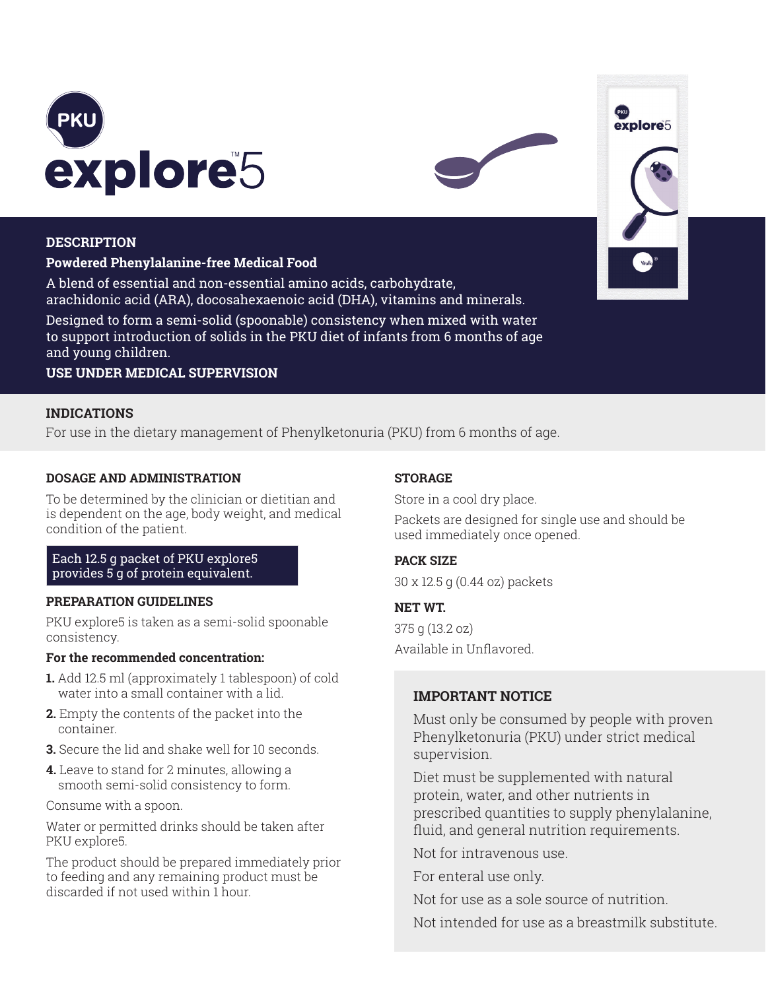



# **DESCRIPTION**

# **Powdered Phenylalanine-free Medical Food**

A blend of essential and non-essential amino acids, carbohydrate, arachidonic acid (ARA), docosahexaenoic acid (DHA), vitamins and minerals.

Designed to form a semi-solid (spoonable) consistency when mixed with water to support introduction of solids in the PKU diet of infants from 6 months of age and young children.

**USE UNDER MEDICAL SUPERVISION**

# **INDICATIONS**

For use in the dietary management of Phenylketonuria (PKU) from 6 months of age.

# **DOSAGE AND ADMINISTRATION**

To be determined by the clinician or dietitian and is dependent on the age, body weight, and medical condition of the patient.

# Each 12.5 g packet of PKU explore5 provides 5 g of protein equivalent.

# **PREPARATION GUIDELINES**

PKU explore5 is taken as a semi-solid spoonable consistency.

#### **For the recommended concentration:**

- **1.** Add 12.5 ml (approximately 1 tablespoon) of cold water into a small container with a lid.
- **2.** Empty the contents of the packet into the container.
- **3.** Secure the lid and shake well for 10 seconds.
- **4.** Leave to stand for 2 minutes, allowing a smooth semi-solid consistency to form.

Consume with a spoon.

Water or permitted drinks should be taken after PKU explore5.

The product should be prepared immediately prior to feeding and any remaining product must be discarded if not used within 1 hour.

# **STORAGE**

Store in a cool dry place.

Packets are designed for single use and should be used immediately once opened.

# **PACK SIZE**

30 x 12.5 g (0.44 oz) packets

# **NET WT.**

375 g (13.2 oz) Available in Unflavored.

# **IMPORTANT NOTICE**

Must only be consumed by people with proven Phenylketonuria (PKU) under strict medical supervision.

Diet must be supplemented with natural protein, water, and other nutrients in prescribed quantities to supply phenylalanine, fluid, and general nutrition requirements.

Not for intravenous use.

For enteral use only.

Not for use as a sole source of nutrition.

Not intended for use as a breastmilk substitute.